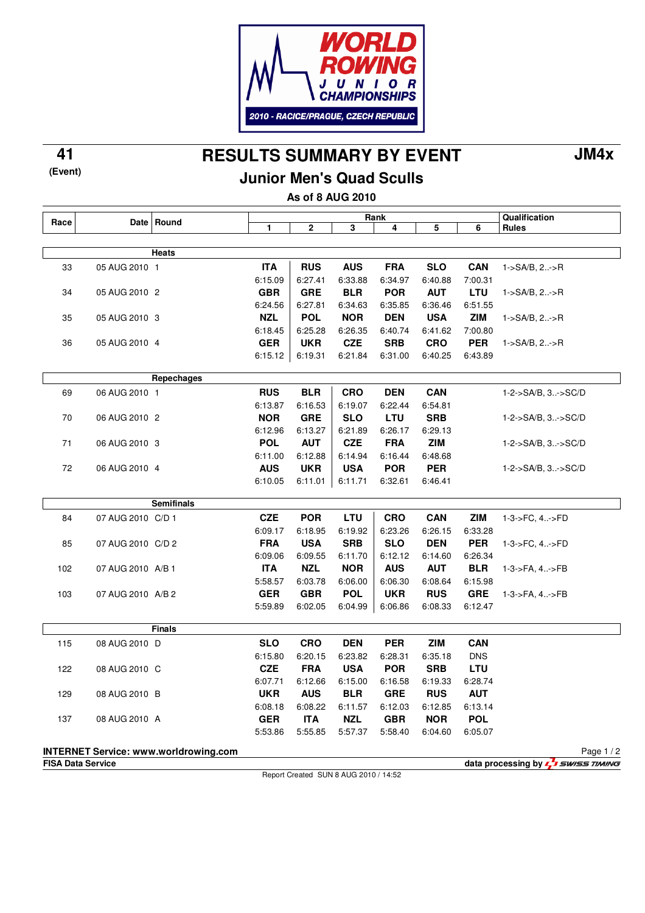

**RESULTS SUMMARY BY EVENT 41 JM4x**

**(Event)**

## **Junior Men's Quad Sculls**

**As of 8 AUG 2010**

| Race                                                                                                          |                   | Date   Round      | Rank                  |                       |                       |                       |                       |            | Qualification      |
|---------------------------------------------------------------------------------------------------------------|-------------------|-------------------|-----------------------|-----------------------|-----------------------|-----------------------|-----------------------|------------|--------------------|
|                                                                                                               |                   |                   | 1                     | 2                     | 3                     | 4                     | 5                     | 6          | <b>Rules</b>       |
|                                                                                                               |                   |                   |                       |                       |                       |                       |                       |            |                    |
|                                                                                                               |                   | <b>Heats</b>      |                       |                       |                       |                       |                       |            |                    |
| 33                                                                                                            | 05 AUG 2010 1     |                   | <b>ITA</b>            | <b>RUS</b>            | <b>AUS</b>            | <b>FRA</b>            | <b>SLO</b>            | <b>CAN</b> | $1-SA/B, 2. - > R$ |
|                                                                                                               |                   |                   | 6:15.09               | 6:27.41               | 6:33.88               | 6:34.97               | 6:40.88               | 7:00.31    |                    |
| 34                                                                                                            | 05 AUG 2010 2     |                   | <b>GBR</b>            | <b>GRE</b>            | <b>BLR</b>            | <b>POR</b>            | <b>AUT</b>            | <b>LTU</b> | $1-SA/B, 2-P$      |
|                                                                                                               |                   |                   | 6:24.56               | 6:27.81               | 6:34.63               | 6:35.85               | 6:36.46               | 6:51.55    |                    |
| 35                                                                                                            | 05 AUG 2010 3     |                   | <b>NZL</b>            | <b>POL</b>            | <b>NOR</b>            | <b>DEN</b>            | <b>USA</b>            | <b>ZIM</b> | $1-SA/B, 2. - > R$ |
|                                                                                                               |                   |                   | 6:18.45               | 6:25.28               | 6:26.35               | 6:40.74               | 6:41.62               | 7:00.80    |                    |
| 36                                                                                                            | 05 AUG 2010 4     |                   | <b>GER</b>            | <b>UKR</b>            | <b>CZE</b>            | <b>SRB</b>            | <b>CRO</b>            | <b>PER</b> | $1-SA/B, 2. - > R$ |
|                                                                                                               |                   |                   | 6:15.12               | 6:19.31               | 6:21.84               | 6:31.00               | 6:40.25               | 6:43.89    |                    |
|                                                                                                               |                   | Repechages        |                       |                       |                       |                       |                       |            |                    |
|                                                                                                               |                   |                   |                       |                       |                       |                       |                       |            |                    |
| 69                                                                                                            | 06 AUG 2010 1     |                   | <b>RUS</b>            | <b>BLR</b>            | <b>CRO</b>            | <b>DEN</b>            | <b>CAN</b>            |            | 1-2->SA/B, 3->SC/D |
|                                                                                                               |                   |                   | 6:13.87<br><b>NOR</b> | 6:16.53<br><b>GRE</b> | 6:19.07<br><b>SLO</b> | 6:22.44<br>LTU        | 6:54.81<br><b>SRB</b> |            |                    |
| 70                                                                                                            | 06 AUG 2010 2     |                   | 6:12.96               |                       | 6:21.89               |                       |                       |            | 1-2->SA/B, 3->SC/D |
| 71                                                                                                            | 06 AUG 2010 3     |                   | <b>POL</b>            | 6:13.27<br><b>AUT</b> | <b>CZE</b>            | 6:26.17<br><b>FRA</b> | 6:29.13<br><b>ZIM</b> |            |                    |
|                                                                                                               |                   |                   | 6:11.00               | 6:12.88               | 6:14.94               | 6:16.44               | 6:48.68               |            | 1-2->SA/B, 3->SC/D |
| 72                                                                                                            | 06 AUG 2010 4     |                   | <b>AUS</b>            | <b>UKR</b>            | <b>USA</b>            | <b>POR</b>            | <b>PER</b>            |            | 1-2->SA/B, 3->SC/D |
|                                                                                                               |                   |                   | 6:10.05               | 6:11.01               | 6:11.71               | 6:32.61               | 6:46.41               |            |                    |
|                                                                                                               |                   |                   |                       |                       |                       |                       |                       |            |                    |
|                                                                                                               |                   | <b>Semifinals</b> |                       |                       |                       |                       |                       |            |                    |
| 84                                                                                                            | 07 AUG 2010 C/D 1 |                   | <b>CZE</b>            | <b>POR</b>            | LTU                   | <b>CRO</b>            | <b>CAN</b>            | <b>ZIM</b> | 1-3->FC, 4->FD     |
|                                                                                                               |                   |                   | 6:09.17               | 6:18.95               | 6:19.92               | 6:23.26               | 6:26.15               | 6:33.28    |                    |
| 85                                                                                                            | 07 AUG 2010 C/D 2 |                   | <b>FRA</b>            | <b>USA</b>            | <b>SRB</b>            | <b>SLO</b>            | <b>DEN</b>            | <b>PER</b> | 1-3->FC, 4->FD     |
|                                                                                                               |                   |                   | 6:09.06               | 6:09.55               | 6:11.70               | 6:12.12               | 6:14.60               | 6:26.34    |                    |
| 102                                                                                                           | 07 AUG 2010 A/B 1 |                   | <b>ITA</b>            | <b>NZL</b>            | <b>NOR</b>            | <b>AUS</b>            | <b>AUT</b>            | <b>BLR</b> | 1-3->FA, 4->FB     |
|                                                                                                               |                   |                   | 5:58.57               | 6:03.78               | 6:06.00               | 6:06.30               | 6:08.64               | 6:15.98    |                    |
| 103                                                                                                           | 07 AUG 2010 A/B 2 |                   | <b>GER</b>            | <b>GBR</b>            | <b>POL</b>            | <b>UKR</b>            | <b>RUS</b>            | <b>GRE</b> | 1-3->FA, 4->FB     |
|                                                                                                               |                   |                   | 5:59.89               | 6:02.05               | 6:04.99               | 6:06.86               | 6:08.33               | 6:12.47    |                    |
|                                                                                                               |                   | <b>Finals</b>     |                       |                       |                       |                       |                       |            |                    |
| 115                                                                                                           | 08 AUG 2010 D     |                   | <b>SLO</b>            | <b>CRO</b>            | <b>DEN</b>            | <b>PER</b>            | <b>ZIM</b>            | <b>CAN</b> |                    |
|                                                                                                               |                   |                   | 6:15.80               | 6:20.15               | 6:23.82               | 6:28.31               | 6:35.18               | <b>DNS</b> |                    |
| 122                                                                                                           | 08 AUG 2010 C     |                   | <b>CZE</b>            | <b>FRA</b>            | <b>USA</b>            | <b>POR</b>            | <b>SRB</b>            | <b>LTU</b> |                    |
|                                                                                                               |                   |                   | 6:07.71               | 6:12.66               | 6:15.00               | 6:16.58               | 6:19.33               | 6:28.74    |                    |
| 129                                                                                                           | 08 AUG 2010 B     |                   | <b>UKR</b>            | <b>AUS</b>            | <b>BLR</b>            | <b>GRE</b>            | <b>RUS</b>            | <b>AUT</b> |                    |
|                                                                                                               |                   |                   | 6:08.18               |                       | 6:08.22 6:11.57       | 6:12.03               | 6:12.85               | 6:13.14    |                    |
| 137                                                                                                           | 08 AUG 2010 A     |                   | <b>GER</b>            | <b>ITA</b>            | <b>NZL</b>            | <b>GBR</b>            | <b>NOR</b>            | <b>POL</b> |                    |
|                                                                                                               |                   |                   | 5:53.86               | 5:55.85               | 5:57.37               | 5:58.40               | 6:04.60               | 6:05.07    |                    |
|                                                                                                               |                   |                   |                       |                       |                       |                       |                       |            |                    |
| <b>INTERNET Service: www.worldrowing.com</b><br>Page 1/2                                                      |                   |                   |                       |                       |                       |                       |                       |            |                    |
| data processing by <b>5</b> swiss TIMING<br><b>FISA Data Service</b><br>Report Created SUN 8 AUG 2010 / 14:52 |                   |                   |                       |                       |                       |                       |                       |            |                    |
|                                                                                                               |                   |                   |                       |                       |                       |                       |                       |            |                    |